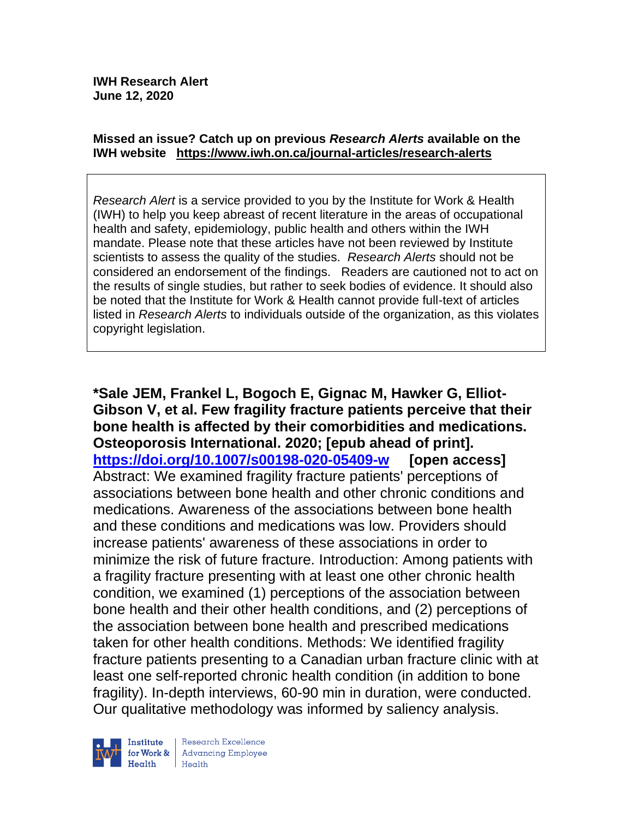#### **Missed an issue? Catch up on previous** *Research Alerts* **available on the [IWH website](http://www.iwh.on.ca/research-alerts) <https://www.iwh.on.ca/journal-articles/research-alerts>**

*Research Alert* is a service provided to you by the Institute for Work & Health (IWH) to help you keep abreast of recent literature in the areas of occupational health and safety, epidemiology, public health and others within the IWH mandate. Please note that these articles have not been reviewed by Institute scientists to assess the quality of the studies. *Research Alerts* should not be considered an endorsement of the findings. Readers are cautioned not to act on the results of single studies, but rather to seek bodies of evidence. It should also be noted that the Institute for Work & Health cannot provide full-text of articles listed in *Research Alerts* to individuals outside of the organization, as this violates copyright legislation.

**\*Sale JEM, Frankel L, Bogoch E, Gignac M, Hawker G, Elliot-Gibson V, et al. Few fragility fracture patients perceive that their bone health is affected by their comorbidities and medications. Osteoporosis International. 2020; [epub ahead of print]. <https://doi.org/10.1007/s00198-020-05409-w> [open access]** Abstract: We examined fragility fracture patients' perceptions of associations between bone health and other chronic conditions and medications. Awareness of the associations between bone health and these conditions and medications was low. Providers should increase patients' awareness of these associations in order to minimize the risk of future fracture. Introduction: Among patients with a fragility fracture presenting with at least one other chronic health condition, we examined (1) perceptions of the association between bone health and their other health conditions, and (2) perceptions of the association between bone health and prescribed medications taken for other health conditions. Methods: We identified fragility fracture patients presenting to a Canadian urban fracture clinic with at least one self-reported chronic health condition (in addition to bone fragility). In-depth interviews, 60-90 min in duration, were conducted. Our qualitative methodology was informed by saliency analysis.



Research Excellence for Work & Advancing Employee  $H$ ealth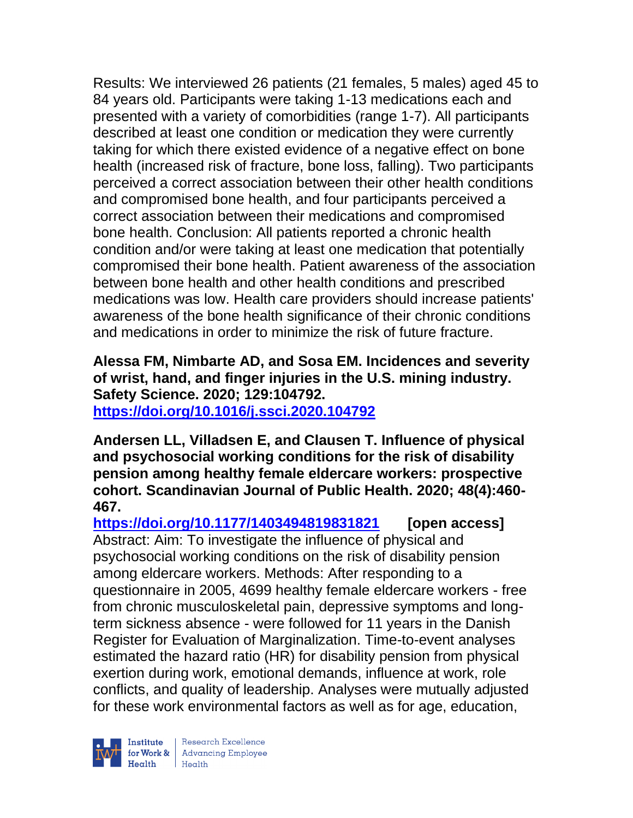Results: We interviewed 26 patients (21 females, 5 males) aged 45 to 84 years old. Participants were taking 1-13 medications each and presented with a variety of comorbidities (range 1-7). All participants described at least one condition or medication they were currently taking for which there existed evidence of a negative effect on bone health (increased risk of fracture, bone loss, falling). Two participants perceived a correct association between their other health conditions and compromised bone health, and four participants perceived a correct association between their medications and compromised bone health. Conclusion: All patients reported a chronic health condition and/or were taking at least one medication that potentially compromised their bone health. Patient awareness of the association between bone health and other health conditions and prescribed medications was low. Health care providers should increase patients' awareness of the bone health significance of their chronic conditions and medications in order to minimize the risk of future fracture.

**Alessa FM, Nimbarte AD, and Sosa EM. Incidences and severity of wrist, hand, and finger injuries in the U.S. mining industry. Safety Science. 2020; 129:104792. <https://doi.org/10.1016/j.ssci.2020.104792>** 

**Andersen LL, Villadsen E, and Clausen T. Influence of physical and psychosocial working conditions for the risk of disability pension among healthy female eldercare workers: prospective cohort. Scandinavian Journal of Public Health. 2020; 48(4):460- 467.** 

**<https://doi.org/10.1177/1403494819831821> [open access]** Abstract: Aim: To investigate the influence of physical and psychosocial working conditions on the risk of disability pension among eldercare workers. Methods: After responding to a questionnaire in 2005, 4699 healthy female eldercare workers - free from chronic musculoskeletal pain, depressive symptoms and longterm sickness absence - were followed for 11 years in the Danish Register for Evaluation of Marginalization. Time-to-event analyses estimated the hazard ratio (HR) for disability pension from physical exertion during work, emotional demands, influence at work, role conflicts, and quality of leadership. Analyses were mutually adjusted for these work environmental factors as well as for age, education,

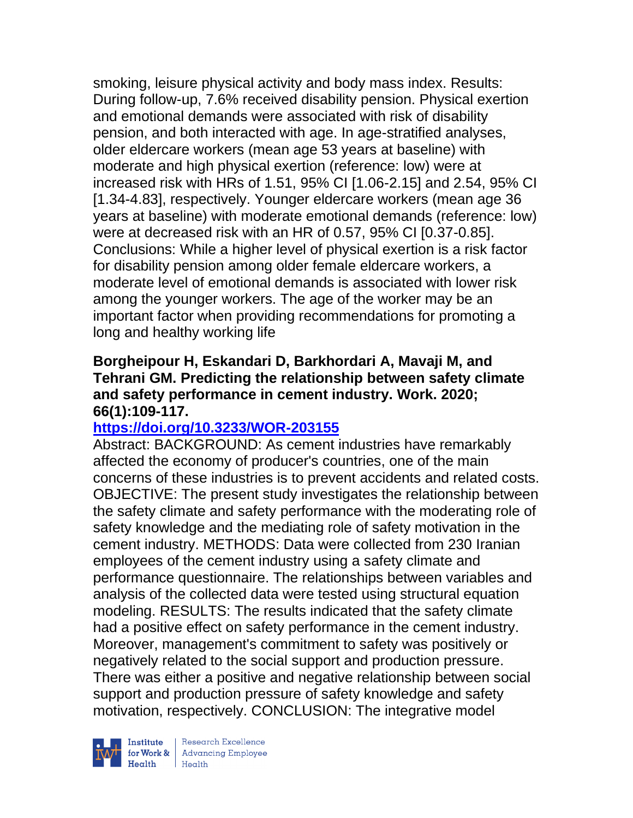smoking, leisure physical activity and body mass index. Results: During follow-up, 7.6% received disability pension. Physical exertion and emotional demands were associated with risk of disability pension, and both interacted with age. In age-stratified analyses, older eldercare workers (mean age 53 years at baseline) with moderate and high physical exertion (reference: low) were at increased risk with HRs of 1.51, 95% CI [1.06-2.15] and 2.54, 95% CI [1.34-4.83], respectively. Younger eldercare workers (mean age 36 years at baseline) with moderate emotional demands (reference: low) were at decreased risk with an HR of 0.57, 95% CI [0.37-0.85]. Conclusions: While a higher level of physical exertion is a risk factor for disability pension among older female eldercare workers, a moderate level of emotional demands is associated with lower risk among the younger workers. The age of the worker may be an important factor when providing recommendations for promoting a long and healthy working life

## **Borgheipour H, Eskandari D, Barkhordari A, Mavaji M, and Tehrani GM. Predicting the relationship between safety climate and safety performance in cement industry. Work. 2020; 66(1):109-117.**

# **<https://doi.org/10.3233/WOR-203155>**

Abstract: BACKGROUND: As cement industries have remarkably affected the economy of producer's countries, one of the main concerns of these industries is to prevent accidents and related costs. OBJECTIVE: The present study investigates the relationship between the safety climate and safety performance with the moderating role of safety knowledge and the mediating role of safety motivation in the cement industry. METHODS: Data were collected from 230 Iranian employees of the cement industry using a safety climate and performance questionnaire. The relationships between variables and analysis of the collected data were tested using structural equation modeling. RESULTS: The results indicated that the safety climate had a positive effect on safety performance in the cement industry. Moreover, management's commitment to safety was positively or negatively related to the social support and production pressure. There was either a positive and negative relationship between social support and production pressure of safety knowledge and safety motivation, respectively. CONCLUSION: The integrative model



| Research Excellence for Work & Advancing Employee<br>Health Health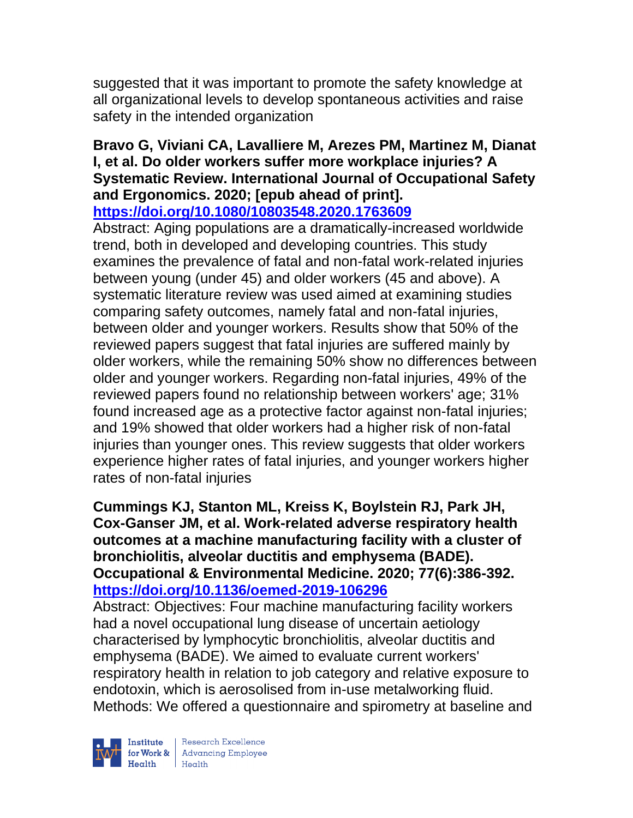suggested that it was important to promote the safety knowledge at all organizational levels to develop spontaneous activities and raise safety in the intended organization

#### **Bravo G, Viviani CA, Lavalliere M, Arezes PM, Martinez M, Dianat I, et al. Do older workers suffer more workplace injuries? A Systematic Review. International Journal of Occupational Safety and Ergonomics. 2020; [epub ahead of print]. <https://doi.org/10.1080/10803548.2020.1763609>**

Abstract: Aging populations are a dramatically-increased worldwide trend, both in developed and developing countries. This study examines the prevalence of fatal and non-fatal work-related injuries between young (under 45) and older workers (45 and above). A systematic literature review was used aimed at examining studies comparing safety outcomes, namely fatal and non-fatal injuries, between older and younger workers. Results show that 50% of the reviewed papers suggest that fatal injuries are suffered mainly by older workers, while the remaining 50% show no differences between older and younger workers. Regarding non-fatal injuries, 49% of the reviewed papers found no relationship between workers' age; 31% found increased age as a protective factor against non-fatal injuries; and 19% showed that older workers had a higher risk of non-fatal injuries than younger ones. This review suggests that older workers experience higher rates of fatal injuries, and younger workers higher rates of non-fatal injuries

**Cummings KJ, Stanton ML, Kreiss K, Boylstein RJ, Park JH, Cox-Ganser JM, et al. Work-related adverse respiratory health outcomes at a machine manufacturing facility with a cluster of bronchiolitis, alveolar ductitis and emphysema (BADE). Occupational & Environmental Medicine. 2020; 77(6):386-392. <https://doi.org/10.1136/oemed-2019-106296>** 

Abstract: Objectives: Four machine manufacturing facility workers had a novel occupational lung disease of uncertain aetiology characterised by lymphocytic bronchiolitis, alveolar ductitis and emphysema (BADE). We aimed to evaluate current workers' respiratory health in relation to job category and relative exposure to endotoxin, which is aerosolised from in-use metalworking fluid. Methods: We offered a questionnaire and spirometry at baseline and



| Research Excellence for Work & Advancing Employee<br>Health Health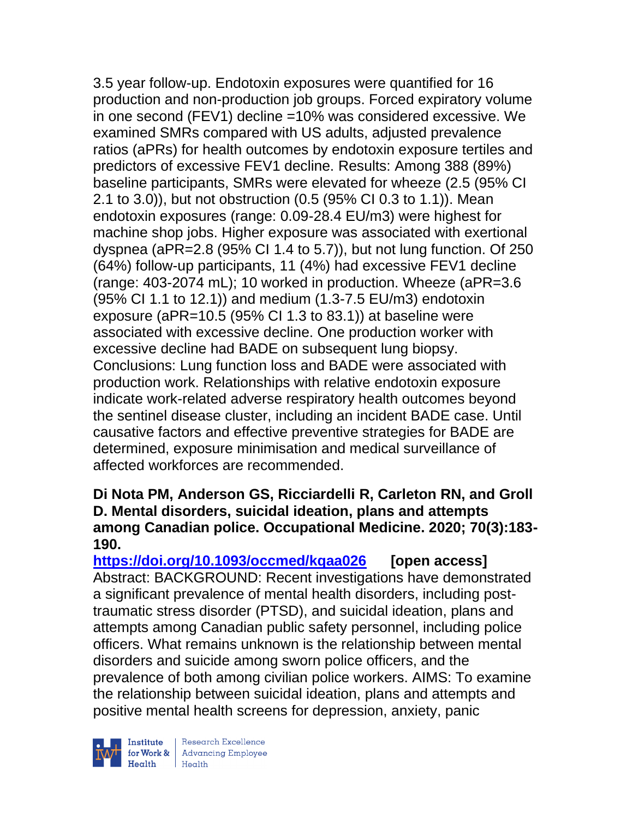3.5 year follow-up. Endotoxin exposures were quantified for 16 production and non-production job groups. Forced expiratory volume in one second (FEV1) decline =10% was considered excessive. We examined SMRs compared with US adults, adjusted prevalence ratios (aPRs) for health outcomes by endotoxin exposure tertiles and predictors of excessive FEV1 decline. Results: Among 388 (89%) baseline participants, SMRs were elevated for wheeze (2.5 (95% CI 2.1 to 3.0)), but not obstruction (0.5 (95% CI 0.3 to 1.1)). Mean endotoxin exposures (range: 0.09-28.4 EU/m3) were highest for machine shop jobs. Higher exposure was associated with exertional dyspnea (aPR=2.8 (95% CI 1.4 to 5.7)), but not lung function. Of 250 (64%) follow-up participants, 11 (4%) had excessive FEV1 decline (range: 403-2074 mL); 10 worked in production. Wheeze (aPR=3.6 (95% CI 1.1 to 12.1)) and medium (1.3-7.5 EU/m3) endotoxin exposure (aPR=10.5 (95% CI 1.3 to 83.1)) at baseline were associated with excessive decline. One production worker with excessive decline had BADE on subsequent lung biopsy. Conclusions: Lung function loss and BADE were associated with production work. Relationships with relative endotoxin exposure indicate work-related adverse respiratory health outcomes beyond the sentinel disease cluster, including an incident BADE case. Until causative factors and effective preventive strategies for BADE are determined, exposure minimisation and medical surveillance of affected workforces are recommended.

### **Di Nota PM, Anderson GS, Ricciardelli R, Carleton RN, and Groll D. Mental disorders, suicidal ideation, plans and attempts among Canadian police. Occupational Medicine. 2020; 70(3):183- 190.**

**<https://doi.org/10.1093/occmed/kqaa026> [open access]** Abstract: BACKGROUND: Recent investigations have demonstrated a significant prevalence of mental health disorders, including posttraumatic stress disorder (PTSD), and suicidal ideation, plans and attempts among Canadian public safety personnel, including police officers. What remains unknown is the relationship between mental disorders and suicide among sworn police officers, and the prevalence of both among civilian police workers. AIMS: To examine the relationship between suicidal ideation, plans and attempts and positive mental health screens for depression, anxiety, panic



 $\begin{tabular}{|l|} Institute & Research Excellence \\ \hline for Work & Advancing Employee \\ Health & Health \\ \end{tabular}$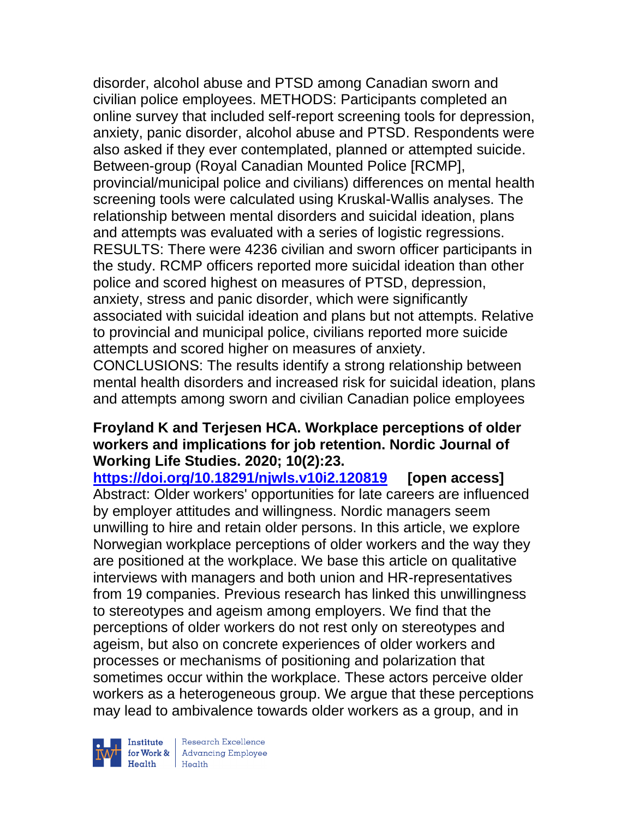disorder, alcohol abuse and PTSD among Canadian sworn and civilian police employees. METHODS: Participants completed an online survey that included self-report screening tools for depression, anxiety, panic disorder, alcohol abuse and PTSD. Respondents were also asked if they ever contemplated, planned or attempted suicide. Between-group (Royal Canadian Mounted Police [RCMP], provincial/municipal police and civilians) differences on mental health screening tools were calculated using Kruskal-Wallis analyses. The relationship between mental disorders and suicidal ideation, plans and attempts was evaluated with a series of logistic regressions. RESULTS: There were 4236 civilian and sworn officer participants in the study. RCMP officers reported more suicidal ideation than other police and scored highest on measures of PTSD, depression, anxiety, stress and panic disorder, which were significantly associated with suicidal ideation and plans but not attempts. Relative to provincial and municipal police, civilians reported more suicide attempts and scored higher on measures of anxiety.

CONCLUSIONS: The results identify a strong relationship between mental health disorders and increased risk for suicidal ideation, plans and attempts among sworn and civilian Canadian police employees

### **Froyland K and Terjesen HCA. Workplace perceptions of older workers and implications for job retention. Nordic Journal of Working Life Studies. 2020; 10(2):23.**

**<https://doi.org/10.18291/njwls.v10i2.120819> [open access]** Abstract: Older workers' opportunities for late careers are influenced by employer attitudes and willingness. Nordic managers seem unwilling to hire and retain older persons. In this article, we explore Norwegian workplace perceptions of older workers and the way they are positioned at the workplace. We base this article on qualitative interviews with managers and both union and HR-representatives from 19 companies. Previous research has linked this unwillingness to stereotypes and ageism among employers. We find that the perceptions of older workers do not rest only on stereotypes and ageism, but also on concrete experiences of older workers and processes or mechanisms of positioning and polarization that sometimes occur within the workplace. These actors perceive older workers as a heterogeneous group. We argue that these perceptions may lead to ambivalence towards older workers as a group, and in



Research Excellence for Work & Advancing Employee<br>Health Health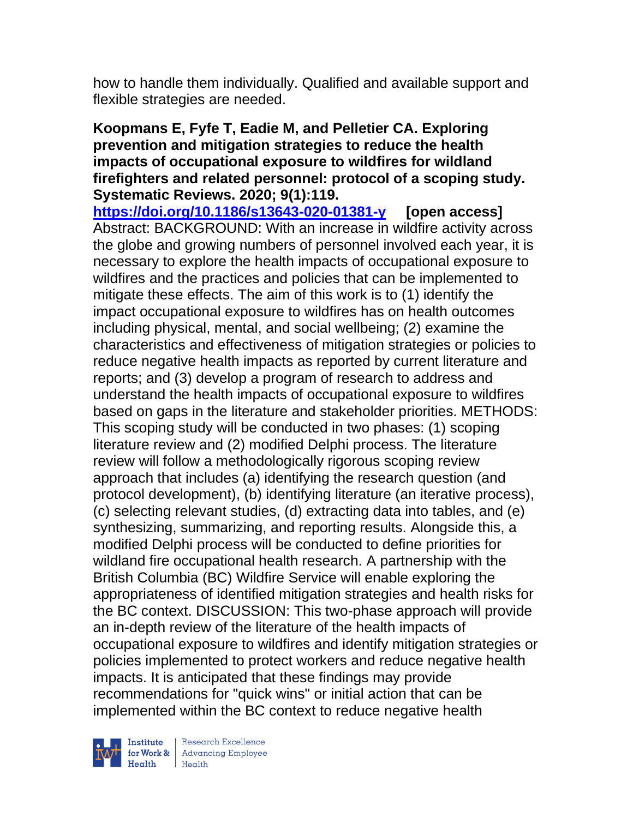how to handle them individually. Qualified and available support and flexible strategies are needed.

## **Koopmans E, Fyfe T, Eadie M, and Pelletier CA. Exploring prevention and mitigation strategies to reduce the health impacts of occupational exposure to wildfires for wildland firefighters and related personnel: protocol of a scoping study. Systematic Reviews. 2020; 9(1):119.**

**<https://doi.org/10.1186/s13643-020-01381-y> [open access]** Abstract: BACKGROUND: With an increase in wildfire activity across the globe and growing numbers of personnel involved each year, it is necessary to explore the health impacts of occupational exposure to wildfires and the practices and policies that can be implemented to mitigate these effects. The aim of this work is to (1) identify the impact occupational exposure to wildfires has on health outcomes including physical, mental, and social wellbeing; (2) examine the characteristics and effectiveness of mitigation strategies or policies to reduce negative health impacts as reported by current literature and reports; and (3) develop a program of research to address and understand the health impacts of occupational exposure to wildfires based on gaps in the literature and stakeholder priorities. METHODS: This scoping study will be conducted in two phases: (1) scoping literature review and (2) modified Delphi process. The literature review will follow a methodologically rigorous scoping review approach that includes (a) identifying the research question (and protocol development), (b) identifying literature (an iterative process), (c) selecting relevant studies, (d) extracting data into tables, and (e) synthesizing, summarizing, and reporting results. Alongside this, a modified Delphi process will be conducted to define priorities for wildland fire occupational health research. A partnership with the British Columbia (BC) Wildfire Service will enable exploring the appropriateness of identified mitigation strategies and health risks for the BC context. DISCUSSION: This two-phase approach will provide an in-depth review of the literature of the health impacts of occupational exposure to wildfires and identify mitigation strategies or policies implemented to protect workers and reduce negative health impacts. It is anticipated that these findings may provide recommendations for "quick wins" or initial action that can be implemented within the BC context to reduce negative health



Research Excellence Institute<br>
for Work & Advancing Employee<br>
Health Health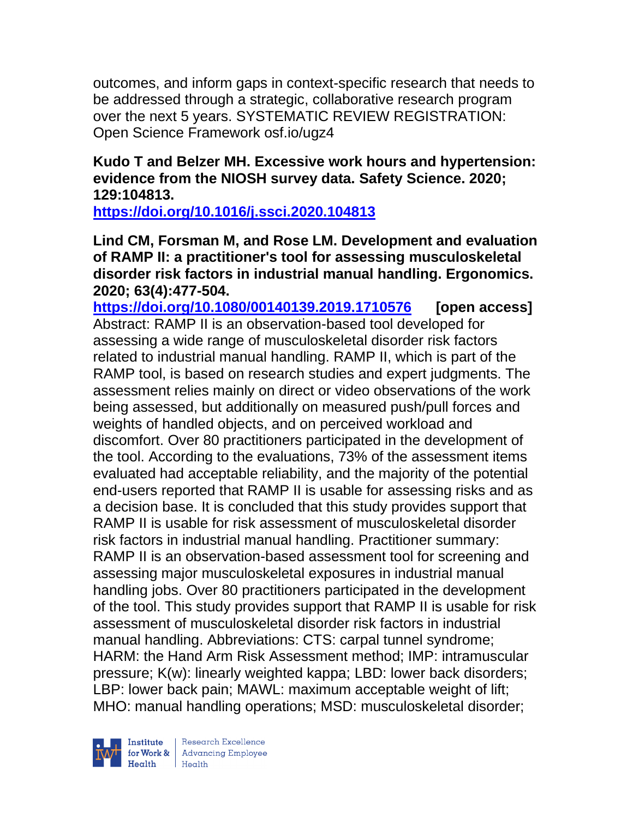outcomes, and inform gaps in context-specific research that needs to be addressed through a strategic, collaborative research program over the next 5 years. SYSTEMATIC REVIEW REGISTRATION: Open Science Framework osf.io/ugz4

## **Kudo T and Belzer MH. Excessive work hours and hypertension: evidence from the NIOSH survey data. Safety Science. 2020; 129:104813.**

**<https://doi.org/10.1016/j.ssci.2020.104813>** 

**Lind CM, Forsman M, and Rose LM. Development and evaluation of RAMP II: a practitioner's tool for assessing musculoskeletal disorder risk factors in industrial manual handling. Ergonomics. 2020; 63(4):477-504.** 

**<https://doi.org/10.1080/00140139.2019.1710576> [open access]** Abstract: RAMP II is an observation-based tool developed for assessing a wide range of musculoskeletal disorder risk factors related to industrial manual handling. RAMP II, which is part of the RAMP tool, is based on research studies and expert judgments. The assessment relies mainly on direct or video observations of the work being assessed, but additionally on measured push/pull forces and weights of handled objects, and on perceived workload and discomfort. Over 80 practitioners participated in the development of the tool. According to the evaluations, 73% of the assessment items evaluated had acceptable reliability, and the majority of the potential end-users reported that RAMP II is usable for assessing risks and as a decision base. It is concluded that this study provides support that RAMP II is usable for risk assessment of musculoskeletal disorder risk factors in industrial manual handling. Practitioner summary: RAMP II is an observation-based assessment tool for screening and assessing major musculoskeletal exposures in industrial manual handling jobs. Over 80 practitioners participated in the development of the tool. This study provides support that RAMP II is usable for risk assessment of musculoskeletal disorder risk factors in industrial manual handling. Abbreviations: CTS: carpal tunnel syndrome; HARM: the Hand Arm Risk Assessment method; IMP: intramuscular pressure; K(w): linearly weighted kappa; LBD: lower back disorders; LBP: lower back pain; MAWL: maximum acceptable weight of lift; MHO: manual handling operations; MSD: musculoskeletal disorder;

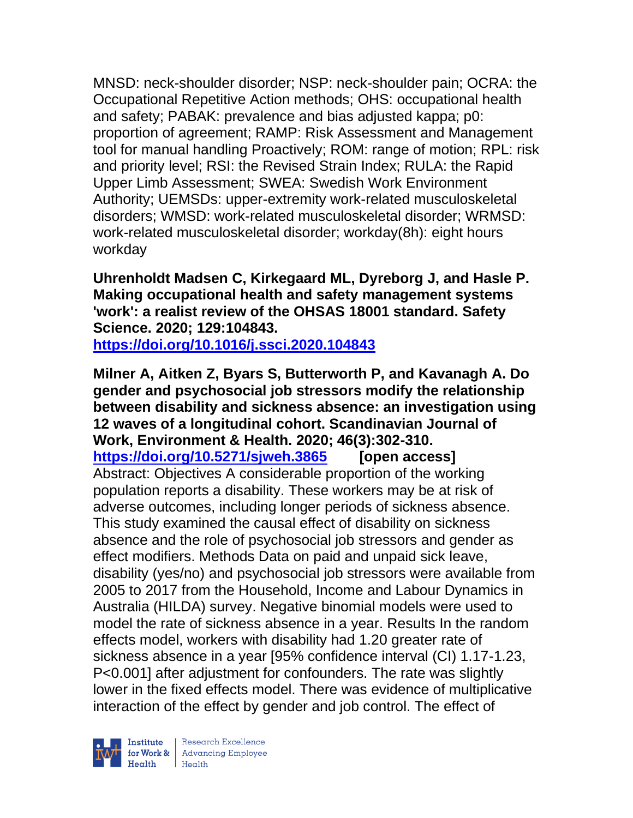MNSD: neck-shoulder disorder; NSP: neck-shoulder pain; OCRA: the Occupational Repetitive Action methods; OHS: occupational health and safety; PABAK: prevalence and bias adjusted kappa; p0: proportion of agreement; RAMP: Risk Assessment and Management tool for manual handling Proactively; ROM: range of motion; RPL: risk and priority level; RSI: the Revised Strain Index; RULA: the Rapid Upper Limb Assessment; SWEA: Swedish Work Environment Authority; UEMSDs: upper-extremity work-related musculoskeletal disorders; WMSD: work-related musculoskeletal disorder; WRMSD: work-related musculoskeletal disorder; workday(8h): eight hours workday

**Uhrenholdt Madsen C, Kirkegaard ML, Dyreborg J, and Hasle P. Making occupational health and safety management systems 'work': a realist review of the OHSAS 18001 standard. Safety Science. 2020; 129:104843. <https://doi.org/10.1016/j.ssci.2020.104843>** 

**Milner A, Aitken Z, Byars S, Butterworth P, and Kavanagh A. Do gender and psychosocial job stressors modify the relationship between disability and sickness absence: an investigation using 12 waves of a longitudinal cohort. Scandinavian Journal of Work, Environment & Health. 2020; 46(3):302-310. <https://doi.org/10.5271/sjweh.3865> [open access]** Abstract: Objectives A considerable proportion of the working population reports a disability. These workers may be at risk of adverse outcomes, including longer periods of sickness absence. This study examined the causal effect of disability on sickness absence and the role of psychosocial job stressors and gender as effect modifiers. Methods Data on paid and unpaid sick leave, disability (yes/no) and psychosocial job stressors were available from 2005 to 2017 from the Household, Income and Labour Dynamics in Australia (HILDA) survey. Negative binomial models were used to model the rate of sickness absence in a year. Results In the random effects model, workers with disability had 1.20 greater rate of sickness absence in a year [95% confidence interval (CI) 1.17-1.23, P<0.001] after adjustment for confounders. The rate was slightly lower in the fixed effects model. There was evidence of multiplicative interaction of the effect by gender and job control. The effect of

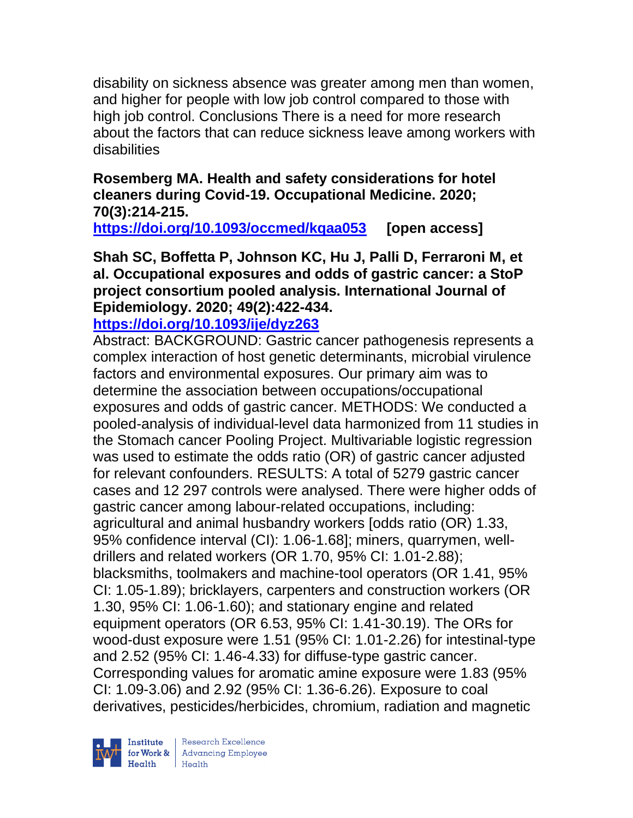disability on sickness absence was greater among men than women, and higher for people with low job control compared to those with high job control. Conclusions There is a need for more research about the factors that can reduce sickness leave among workers with disabilities

# **Rosemberg MA. Health and safety considerations for hotel cleaners during Covid-19. Occupational Medicine. 2020; 70(3):214-215.**

**<https://doi.org/10.1093/occmed/kqaa053> [open access]**

**Shah SC, Boffetta P, Johnson KC, Hu J, Palli D, Ferraroni M, et al. Occupational exposures and odds of gastric cancer: a StoP project consortium pooled analysis. International Journal of Epidemiology. 2020; 49(2):422-434.** 

# **<https://doi.org/10.1093/ije/dyz263>**

Abstract: BACKGROUND: Gastric cancer pathogenesis represents a complex interaction of host genetic determinants, microbial virulence factors and environmental exposures. Our primary aim was to determine the association between occupations/occupational exposures and odds of gastric cancer. METHODS: We conducted a pooled-analysis of individual-level data harmonized from 11 studies in the Stomach cancer Pooling Project. Multivariable logistic regression was used to estimate the odds ratio (OR) of gastric cancer adjusted for relevant confounders. RESULTS: A total of 5279 gastric cancer cases and 12 297 controls were analysed. There were higher odds of gastric cancer among labour-related occupations, including: agricultural and animal husbandry workers [odds ratio (OR) 1.33, 95% confidence interval (CI): 1.06-1.68]; miners, quarrymen, welldrillers and related workers (OR 1.70, 95% CI: 1.01-2.88); blacksmiths, toolmakers and machine-tool operators (OR 1.41, 95% CI: 1.05-1.89); bricklayers, carpenters and construction workers (OR 1.30, 95% CI: 1.06-1.60); and stationary engine and related equipment operators (OR 6.53, 95% CI: 1.41-30.19). The ORs for wood-dust exposure were 1.51 (95% CI: 1.01-2.26) for intestinal-type and 2.52 (95% CI: 1.46-4.33) for diffuse-type gastric cancer. Corresponding values for aromatic amine exposure were 1.83 (95% CI: 1.09-3.06) and 2.92 (95% CI: 1.36-6.26). Exposure to coal derivatives, pesticides/herbicides, chromium, radiation and magnetic

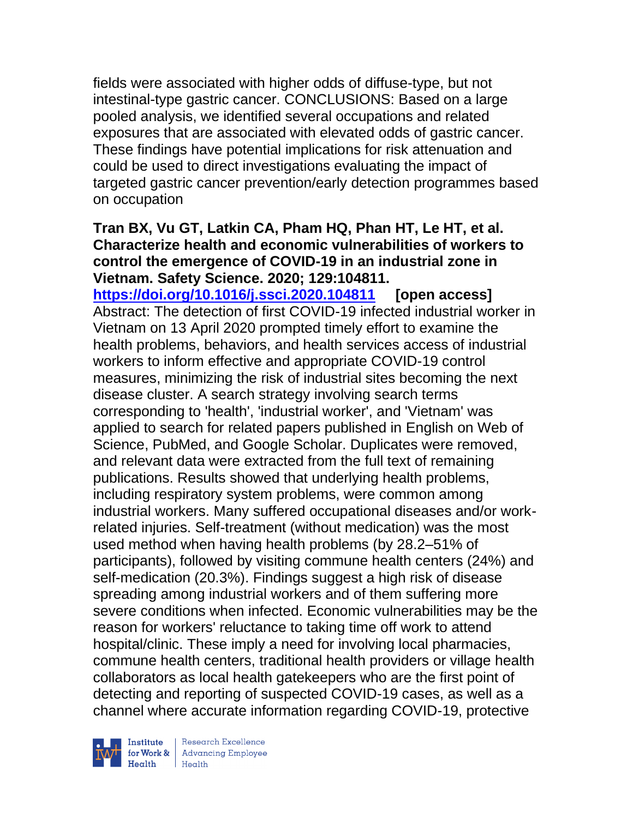fields were associated with higher odds of diffuse-type, but not intestinal-type gastric cancer. CONCLUSIONS: Based on a large pooled analysis, we identified several occupations and related exposures that are associated with elevated odds of gastric cancer. These findings have potential implications for risk attenuation and could be used to direct investigations evaluating the impact of targeted gastric cancer prevention/early detection programmes based on occupation

#### **Tran BX, Vu GT, Latkin CA, Pham HQ, Phan HT, Le HT, et al. Characterize health and economic vulnerabilities of workers to control the emergence of COVID-19 in an industrial zone in Vietnam. Safety Science. 2020; 129:104811.**

**<https://doi.org/10.1016/j.ssci.2020.104811> [open access]** Abstract: The detection of first COVID-19 infected industrial worker in Vietnam on 13 April 2020 prompted timely effort to examine the health problems, behaviors, and health services access of industrial workers to inform effective and appropriate COVID-19 control measures, minimizing the risk of industrial sites becoming the next disease cluster. A search strategy involving search terms corresponding to 'health', 'industrial worker', and 'Vietnam' was applied to search for related papers published in English on Web of Science, PubMed, and Google Scholar. Duplicates were removed, and relevant data were extracted from the full text of remaining publications. Results showed that underlying health problems, including respiratory system problems, were common among industrial workers. Many suffered occupational diseases and/or workrelated injuries. Self-treatment (without medication) was the most used method when having health problems (by 28.2–51% of participants), followed by visiting commune health centers (24%) and self-medication (20.3%). Findings suggest a high risk of disease spreading among industrial workers and of them suffering more severe conditions when infected. Economic vulnerabilities may be the reason for workers' reluctance to taking time off work to attend hospital/clinic. These imply a need for involving local pharmacies, commune health centers, traditional health providers or village health collaborators as local health gatekeepers who are the first point of detecting and reporting of suspected COVID-19 cases, as well as a channel where accurate information regarding COVID-19, protective



| Research Excellence Finantium Research Excellence<br>
For Work & Advancing Employee<br>
Health Health